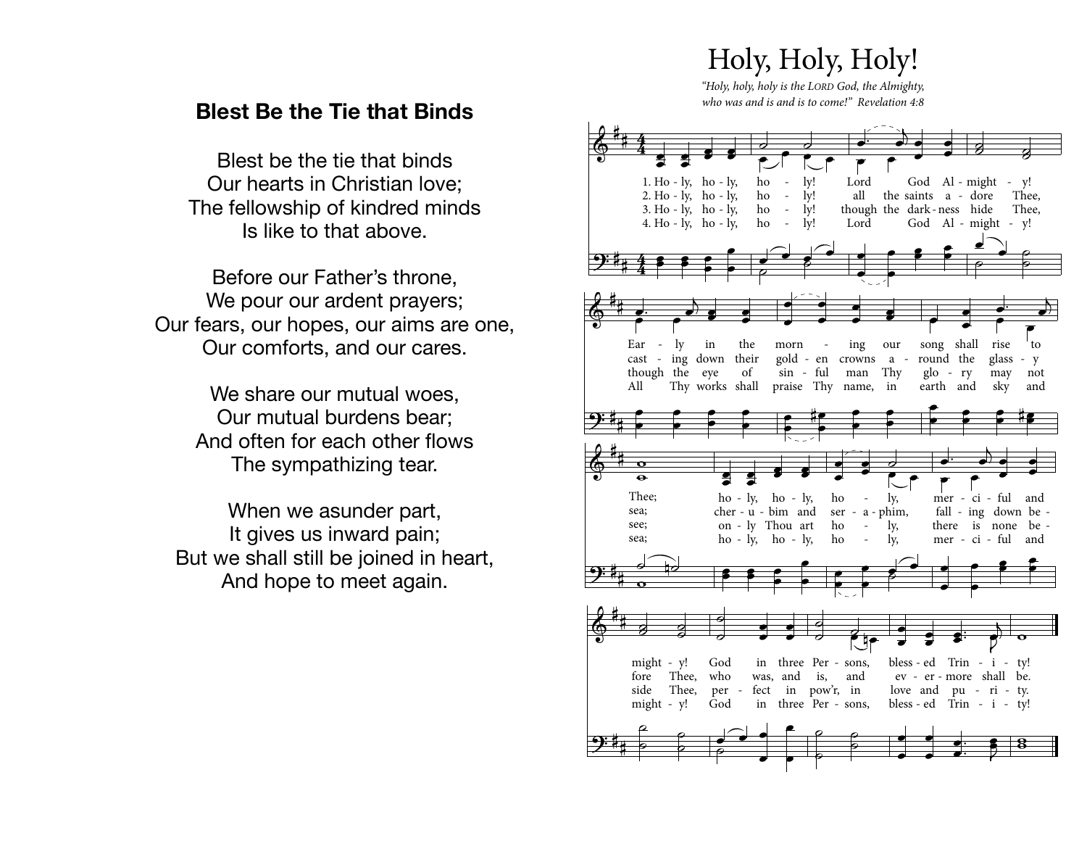## Holy, Holy, Holy!

"Holy, holy, holy is the LORD God, the Almighty, who was and is and is to come!" Revelation 4:8

## **Blest Be the Tie that Binds**

Blest be the tie that binds Our hearts in Christian love; The fellowship of kindred minds Is like to that above.

Before our Father's throne, We pour our ardent prayers; Our fears, our hopes, our aims are one, Our comforts, and our cares.

> We share our mutual woes. Our mutual burdens bear: And often for each other flows The sympathizing tear.

When we asunder part, It gives us inward pain; But we shall still be joined in heart, And hope to meet again.